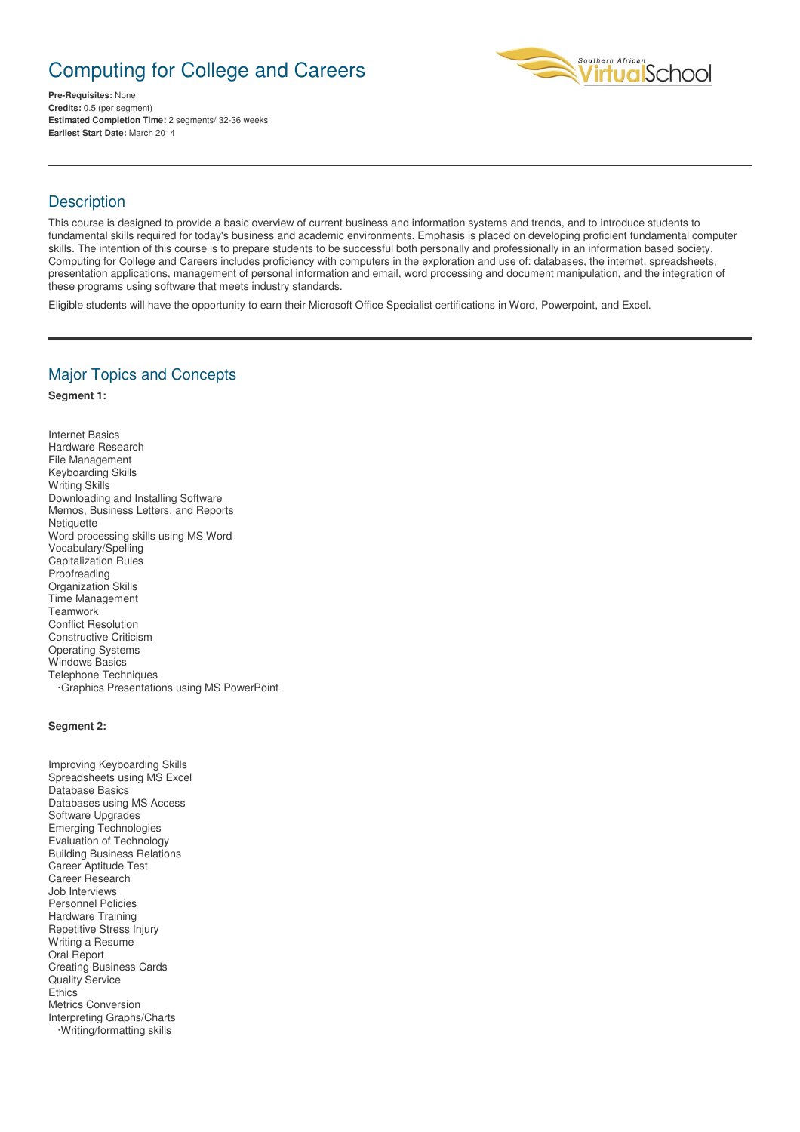# Computing for College and Careers



**Pre-Requisites:** None **Credits:** 0.5 (per segment) **Estimated Completion Time:** 2 segments/ 32-36 weeks **Earliest Start Date:** March 2014

# **Description**

This course is designed to provide a basic overview of current business and information systems and trends, and to introduce students to fundamental skills required for today's business and academic environments. Emphasis is placed on developing proficient fundamental computer skills. The intention of this course is to prepare students to be successful both personally and professionally in an information based society. Computing for College and Careers includes proficiency with computers in the exploration and use of: databases, the internet, spreadsheets, presentation applications, management of personal information and email, word processing and document manipulation, and the integration of these programs using software that meets industry standards.

Eligible students will have the opportunity to earn their Microsoft Office Specialist certifications in Word, Powerpoint, and Excel.

### Major Topics and Concepts

#### **Segment 1:**

Internet Basics Hardware Research File Management Keyboarding Skills Writing Skills Downloading and Installing Software Memos, Business Letters, and Reports **Netiquette** Word processing skills using MS Word Vocabulary/Spelling Capitalization Rules Proofreading Organization Skills Time Management **Teamwork** Conflict Resolution Constructive Criticism Operating Systems Windows Basics Telephone Techniques ·Graphics Presentations using MS PowerPoint

#### **Segment 2:**

Improving Keyboarding Skills Spreadsheets using MS Excel Database Basics Databases using MS Access Software Upgrades Emerging Technologies Evaluation of Technology Building Business Relations Career Aptitude Test Career Research Job Interviews Personnel Policies Hardware Training Repetitive Stress Injury Writing a Resume Oral Report Creating Business Cards Quality Service **Ethics** Metrics Conversion Interpreting Graphs/Charts ·Writing/formatting skills